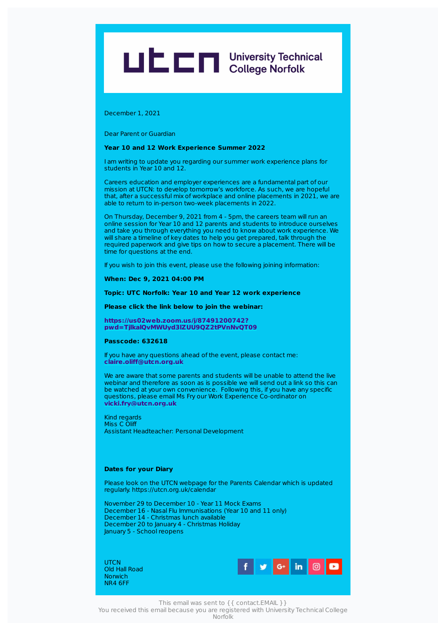# LIC C University Technical

December 1, 2021

Dear Parent or Guardian

# **Year 10 and 12 Work Experience Summer 2022**

I am writing to update you regarding our summer work experience plans for students in Year 10 and 12.

Careers education and employer experiences are a fundamental part of our mission at UTCN: to develop tomorrow's workforce. As such, we are hopeful that, after a successful mix of workplace and online placements in 2021, we are able to return to in-person two-week placements in 2022.

On Thursday, December 9, 2021 from 4 - 5pm, the careers team will run an online session for Year 10 and 12 parents and students to introduce ourselves and take you through everything you need to know about work experience. We will share a timeline of key dates to help you get prepared, talk through the required paperwork and give tips on how to secure a placement. There will be time for questions at the end.

If you wish to join this event, please use the following joining information:

#### **When: Dec 9, 2021 04:00 PM**

# **Topic: UTC Norfolk: Year 10 and Year 12 work experience**

**Please click the link below to join the webinar:**

**https://us02web.zoom.us/j/87491200742? [pwd=TjlkalQvMWUyd3lZUU9QZ2tPVnNvQT09](https://us02web.zoom.us/j/87491200742?pwd=TjlkalQvMWUyd3lZUU9QZ2tPVnNvQT09)**

#### **Passcode: 632618**

If you have any questions ahead of the event, please contact me: **[claire.oliff@utcn.org.uk](mailto:claire.oliff@utcn.org.uk)**

We are aware that some parents and students will be unable to attend the live webinar and therefore as soon as is possible we will send out a link so this can be watched at your own convenience. Following this, if you have any specific questions, please email Ms Fry our Work Experience Co-ordinator on **[vicki.fry@utcn.org.uk](mailto:vicki.fry@utcn.org.uk)**

Kind regards Miss C Oliff Assistant Headteacher: Personal Development

### **Dates for your Diary**

Please look on the UTCN webpage for the Parents Calendar which is updated regularly. https://utcn.org.uk/calendar

November 29 to December 10 - Year 11 Mock Exams December 16 - Nasal Flu Immunisations (Year 10 and 11 only) December 14 - Christmas lunch available December 20 to January 4 - Christmas Holiday January 5 - School reopens

**UTCN** Old Hall Road **Norwich** NR4 6FF



This email was sent to {{ contact.EMAIL }}

You received this email because you are registered with University Technical College Norfolk